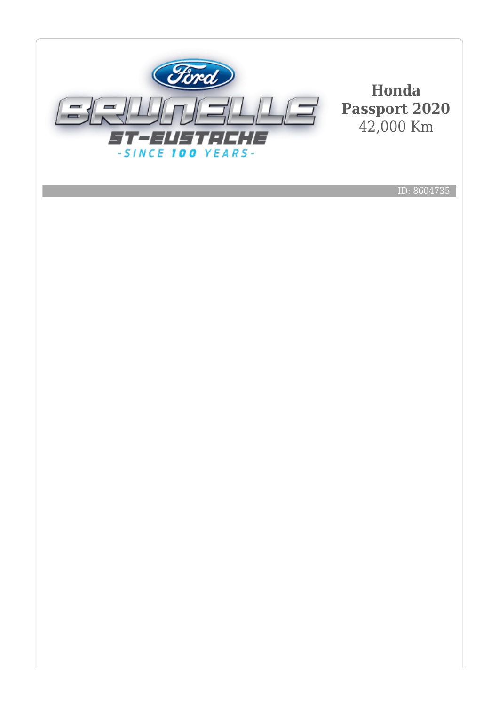

**Honda Passport 2020** 42,000 Km

ID: 8604735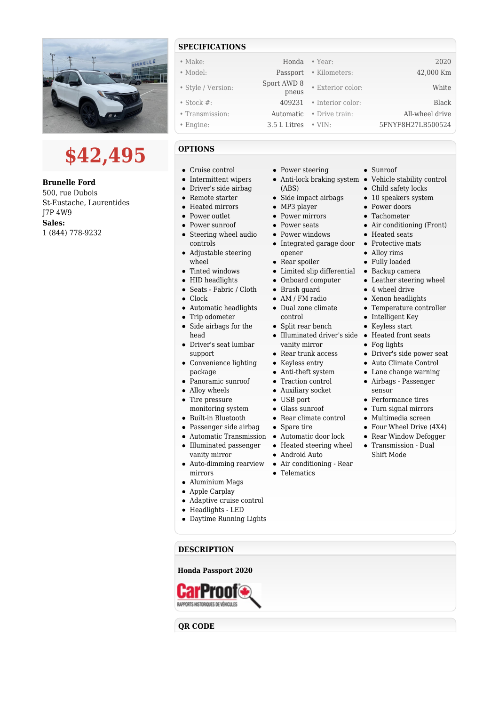

## **\$42,495**

**Brunelle Ford** 500, rue Dubois St-Eustache, Laurentides J7P 4W9 **Sales:** 1 (844) 778-9232

## **SPECIFICATIONS**

| $\bullet$ Make:    | Honda                | $\bullet$ Year:   | 2020              |
|--------------------|----------------------|-------------------|-------------------|
| • Model:           | Passport             | • Kilometers:     | 42,000 Km         |
| • Style / Version: | Sport AWD 8<br>pneus | • Exterior color: | White             |
| $\bullet$ Stock #: | 409231               | • Interior color: | Black             |
| • Transmission:    | Automatic            | • Drive train:    | All-wheel drive   |
| $\bullet$ Engine:  | 3.5 L Litres         | $\cdot$ VIN:      | 5FNYF8H27LB500524 |

## **OPTIONS**

- Cruise control
- Intermittent wipers
- Driver's side airbag
- Remote starter
- Heated mirrors
- Power outlet
- Power sunroof
- Steering wheel audio controls
- Adjustable steering wheel
- $\bullet$ Tinted windows
- HID headlights
- Seats Fabric / Cloth
- Clock
- Automatic headlights
- Trip odometer
- Side airbags for the head
- Driver's seat lumbar support
- Convenience lighting package
- Panoramic sunroof
- Alloy wheels
- Tire pressure
- monitoring system
- Built-in Bluetooth
- Passenger side airbag
- Automatic Transmission Automatic door lock
- $\bullet~$  Illuminated passenger vanity mirror
- mirrors
- Aluminium Mags
- Apple Carplay
- Adaptive cruise control
- Headlights LED
- Daytime Running Lights
- Power steering
- (ABS)
- Side impact airbags
- MP3 player
- Power mirrors
- Power seats
- Power windows
- Integrated garage door Protective mats opener
- Rear spoiler
- Limited slip differential Backup camera
- Onboard computer
- Brush guard
- AM / FM radio
- Dual zone climate control
- $\bullet$  Split rear bench
- Illuminated driver's side Heated front seats vanity mirror
- Rear trunk access
- Keyless entry
- Anti-theft system
- Traction control
- Auxiliary socket
- USB port
- Glass sunroof
- $\bullet~$  Rear climate control
- Spare tire
	-
- Heated steering wheel
- Android Auto
- Auto-dimming rearview Air conditioning Rear
	- Telematics
- Sunroof
- Anti-lock braking system Vehicle stability control
	- Child safety locks
	- 10 speakers system
	- Power doors
	- Tachometer
	- Air conditioning (Front)
	- Heated seats
	-
	- Alloy rims
	- Fully loaded
	-
	- Leather steering wheel
	- 4 wheel drive
	- Xenon headlights
	- Temperature controller
	- Intelligent Key
	- Keyless start
	-
	- Fog lights
	- Driver's side power seat
	- Auto Climate Control
	- Lane change warning
	- Airbags Passenger sensor
	- Performance tires
	- Turn signal mirrors
	- Multimedia screen
	- Four Wheel Drive (4X4)
	- Rear Window Defogger
	- Transmission Dual Shift Mode

**Honda Passport 2020 CarProo** 

**QR CODE**

**DESCRIPTION**